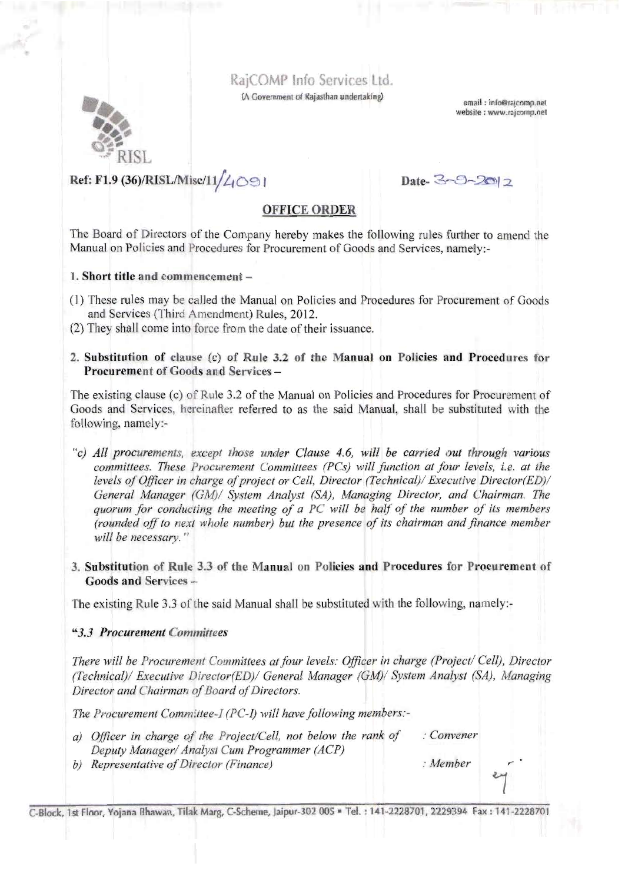# RajCOMP Info Services Ltd.

(A Government of Rajasthan undertaking)

email: info@rajcomp.net website : www.rajcomp.net



# Ref: F1.9 (36)/RISL/Misc/11/4091

Date-3-9-2017

## **OFFICE ORDER**

The Board of Directors of the Company hereby makes the following rules further to amend the Manual on Policies and Procedures for Procurement of Goods and Services, namely:-

1. Short title and commencement-

- (1) These rules may be called the Manual on Policies and Procedures for Procurement of Goods and Services (Third Amendment) Rules, 2012.
- (2) They shall come into force from the date of their issuance.
- 2. Substitution of clause (c) of Rule 3.2 of the Manual on Policies and Procedures for **Procurement of Goods and Services -**

The existing clause (c) of Rule 3.2 of the Manual on Policies and Procedures for Procurement of Goods and Services, hereinafter referred to as the said Manual, shall be substituted with the following, namely:-

- "c) All procurements, except those under Clause 4.6, will be carried out through various committees. These Procurement Committees (PCs) will function at four levels, i.e. at the levels of Officer in charge of project or Cell, Director (Technical)/ Executive Director(ED)/ General Manager (GM)/ System Analyst (SA), Managing Director, and Chairman. The quorum for conducting the meeting of a PC will be half of the number of its members (rounded off to next whole number) but the presence of its chairman and finance member will be necessary."
- 3. Substitution of Rule 3.3 of the Manual on Policies and Procedures for Procurement of Goods and Services -

The existing Rule 3.3 of the said Manual shall be substituted with the following, namely:-

#### "3.3 Procurement Committees

There will be Procurement Committees at four levels: Officer in charge (Project/ Cell), Director (Technical)/ Executive Director(ED)/ General Manager (GM)/ System Analyst (SA), Managing Director and Chairman of Board of Directors.

The Procurement Committee-I (PC-I) will have following members:-

- $:$  Convener a) Officer in charge of the Project/Cell, not below the rank of Deputy Manager/ Analyst Cum Programmer (ACP)  $:$  Member
- b) Representative of Director (Finance)

C-Block, 1st Floor, Yojana Bhawan, Tilak Marg, C-Scheme, Jaipur-302 005 = Tel.: 141-2228701, 2229394 Fax: 141-2228701